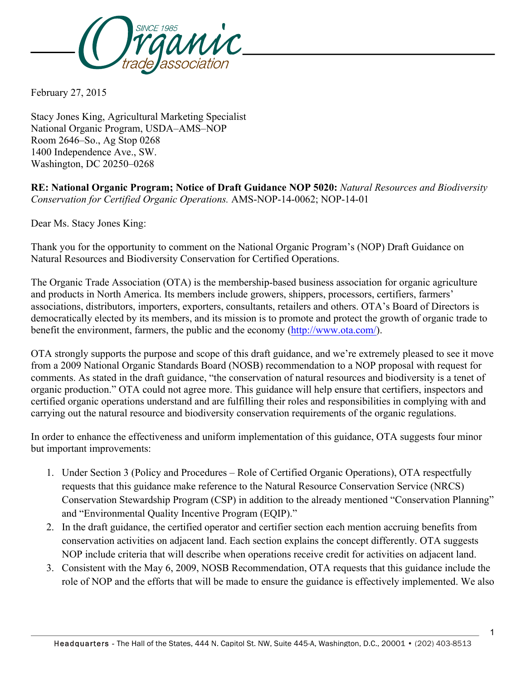

February 27, 2015

Stacy Jones King, Agricultural Marketing Specialist National Organic Program, USDA–AMS–NOP Room 2646–So., Ag Stop 0268 1400 Independence Ave., SW. Washington, DC 20250–0268

**RE: National Organic Program; Notice of Draft Guidance NOP 5020:** *Natural Resources and Biodiversity Conservation for Certified Organic Operations.* AMS-NOP-14-0062; NOP-14-01

Dear Ms. Stacy Jones King:

Thank you for the opportunity to comment on the National Organic Program's (NOP) Draft Guidance on Natural Resources and Biodiversity Conservation for Certified Operations.

The Organic Trade Association (OTA) is the membership-based business association for organic agriculture and products in North America. Its members include growers, shippers, processors, certifiers, farmers' associations, distributors, importers, exporters, consultants, retailers and others. OTA's Board of Directors is democratically elected by its members, and its mission is to promote and protect the growth of organic trade to benefit the environment, farmers, the public and the economy (http://www.ota.com/).

OTA strongly supports the purpose and scope of this draft guidance, and we're extremely pleased to see it move from a 2009 National Organic Standards Board (NOSB) recommendation to a NOP proposal with request for comments. As stated in the draft guidance, "the conservation of natural resources and biodiversity is a tenet of organic production." OTA could not agree more. This guidance will help ensure that certifiers, inspectors and certified organic operations understand and are fulfilling their roles and responsibilities in complying with and carrying out the natural resource and biodiversity conservation requirements of the organic regulations.

In order to enhance the effectiveness and uniform implementation of this guidance, OTA suggests four minor but important improvements:

- 1. Under Section 3 (Policy and Procedures Role of Certified Organic Operations), OTA respectfully requests that this guidance make reference to the Natural Resource Conservation Service (NRCS) Conservation Stewardship Program (CSP) in addition to the already mentioned "Conservation Planning" and "Environmental Quality Incentive Program (EQIP)."
- 2. In the draft guidance, the certified operator and certifier section each mention accruing benefits from conservation activities on adjacent land. Each section explains the concept differently. OTA suggests NOP include criteria that will describe when operations receive credit for activities on adjacent land.
- 3. Consistent with the May 6, 2009, NOSB Recommendation, OTA requests that this guidance include the role of NOP and the efforts that will be made to ensure the guidance is effectively implemented. We also

1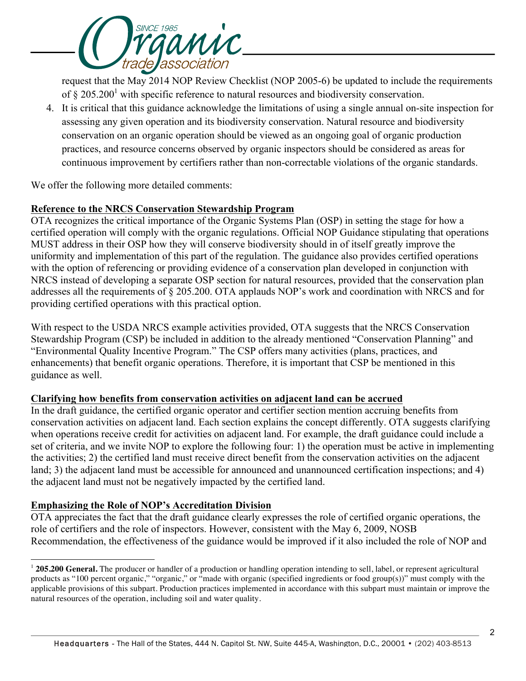

request that the May 2014 NOP Review Checklist (NOP 2005-6) be updated to include the requirements of  $\S 205.200<sup>1</sup>$  with specific reference to natural resources and biodiversity conservation.

4. It is critical that this guidance acknowledge the limitations of using a single annual on-site inspection for assessing any given operation and its biodiversity conservation. Natural resource and biodiversity conservation on an organic operation should be viewed as an ongoing goal of organic production practices, and resource concerns observed by organic inspectors should be considered as areas for continuous improvement by certifiers rather than non-correctable violations of the organic standards.

We offer the following more detailed comments:

# **Reference to the NRCS Conservation Stewardship Program**

OTA recognizes the critical importance of the Organic Systems Plan (OSP) in setting the stage for how a certified operation will comply with the organic regulations. Official NOP Guidance stipulating that operations MUST address in their OSP how they will conserve biodiversity should in of itself greatly improve the uniformity and implementation of this part of the regulation. The guidance also provides certified operations with the option of referencing or providing evidence of a conservation plan developed in conjunction with NRCS instead of developing a separate OSP section for natural resources, provided that the conservation plan addresses all the requirements of § 205.200. OTA applauds NOP's work and coordination with NRCS and for providing certified operations with this practical option.

With respect to the USDA NRCS example activities provided, OTA suggests that the NRCS Conservation Stewardship Program (CSP) be included in addition to the already mentioned "Conservation Planning" and "Environmental Quality Incentive Program." The CSP offers many activities (plans, practices, and enhancements) that benefit organic operations. Therefore, it is important that CSP be mentioned in this guidance as well.

# **Clarifying how benefits from conservation activities on adjacent land can be accrued**

In the draft guidance, the certified organic operator and certifier section mention accruing benefits from conservation activities on adjacent land. Each section explains the concept differently. OTA suggests clarifying when operations receive credit for activities on adjacent land. For example, the draft guidance could include a set of criteria, and we invite NOP to explore the following four: 1) the operation must be active in implementing the activities; 2) the certified land must receive direct benefit from the conservation activities on the adjacent land; 3) the adjacent land must be accessible for announced and unannounced certification inspections; and 4) the adjacent land must not be negatively impacted by the certified land.

# **Emphasizing the Role of NOP's Accreditation Division**

l

OTA appreciates the fact that the draft guidance clearly expresses the role of certified organic operations, the role of certifiers and the role of inspectors. However, consistent with the May 6, 2009, NOSB Recommendation, the effectiveness of the guidance would be improved if it also included the role of NOP and

<sup>&</sup>lt;sup>1</sup> 205.200 General. The producer or handler of a production or handling operation intending to sell, label, or represent agricultural products as "100 percent organic," "organic," or "made with organic (specified ingredients or food group(s))" must comply with the applicable provisions of this subpart. Production practices implemented in accordance with this subpart must maintain or improve the natural resources of the operation, including soil and water quality.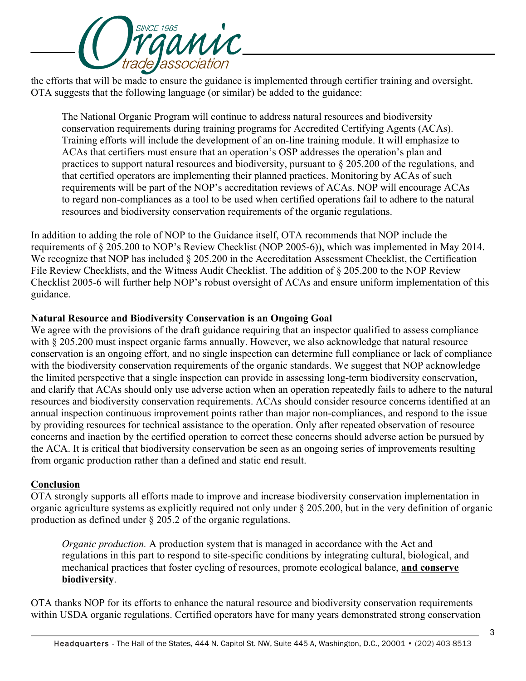

the efforts that will be made to ensure the guidance is implemented through certifier training and oversight. OTA suggests that the following language (or similar) be added to the guidance:

The National Organic Program will continue to address natural resources and biodiversity conservation requirements during training programs for Accredited Certifying Agents (ACAs). Training efforts will include the development of an on-line training module. It will emphasize to ACAs that certifiers must ensure that an operation's OSP addresses the operation's plan and practices to support natural resources and biodiversity, pursuant to § 205.200 of the regulations, and that certified operators are implementing their planned practices. Monitoring by ACAs of such requirements will be part of the NOP's accreditation reviews of ACAs. NOP will encourage ACAs to regard non-compliances as a tool to be used when certified operations fail to adhere to the natural resources and biodiversity conservation requirements of the organic regulations.

In addition to adding the role of NOP to the Guidance itself, OTA recommends that NOP include the requirements of § 205.200 to NOP's Review Checklist (NOP 2005-6)), which was implemented in May 2014. We recognize that NOP has included § 205.200 in the Accreditation Assessment Checklist, the Certification File Review Checklists, and the Witness Audit Checklist. The addition of  $\S 205.200$  to the NOP Review Checklist 2005-6 will further help NOP's robust oversight of ACAs and ensure uniform implementation of this guidance.

# **Natural Resource and Biodiversity Conservation is an Ongoing Goal**

We agree with the provisions of the draft guidance requiring that an inspector qualified to assess compliance with § 205.200 must inspect organic farms annually. However, we also acknowledge that natural resource conservation is an ongoing effort, and no single inspection can determine full compliance or lack of compliance with the biodiversity conservation requirements of the organic standards. We suggest that NOP acknowledge the limited perspective that a single inspection can provide in assessing long-term biodiversity conservation, and clarify that ACAs should only use adverse action when an operation repeatedly fails to adhere to the natural resources and biodiversity conservation requirements. ACAs should consider resource concerns identified at an annual inspection continuous improvement points rather than major non-compliances, and respond to the issue by providing resources for technical assistance to the operation. Only after repeated observation of resource concerns and inaction by the certified operation to correct these concerns should adverse action be pursued by the ACA. It is critical that biodiversity conservation be seen as an ongoing series of improvements resulting from organic production rather than a defined and static end result.

# **Conclusion**

OTA strongly supports all efforts made to improve and increase biodiversity conservation implementation in organic agriculture systems as explicitly required not only under § 205.200, but in the very definition of organic production as defined under § 205.2 of the organic regulations.

*Organic production.* A production system that is managed in accordance with the Act and regulations in this part to respond to site-specific conditions by integrating cultural, biological, and mechanical practices that foster cycling of resources, promote ecological balance, **and conserve biodiversity**.

OTA thanks NOP for its efforts to enhance the natural resource and biodiversity conservation requirements within USDA organic regulations. Certified operators have for many years demonstrated strong conservation